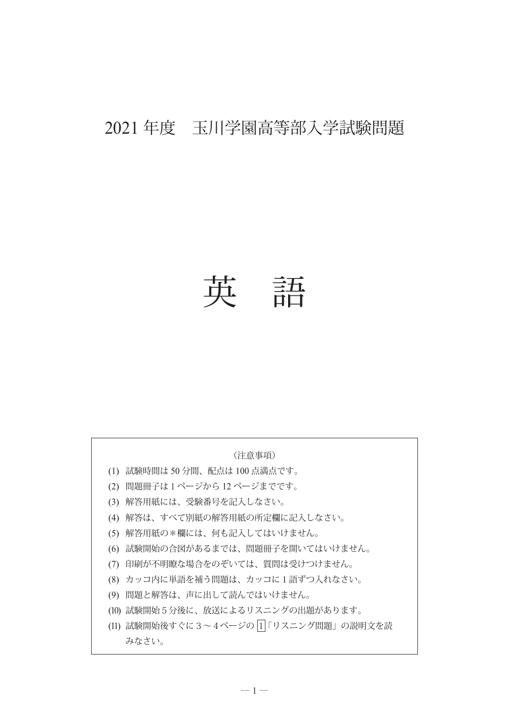# 2021 年度 玉川学園高等部入学試験問題

英 語

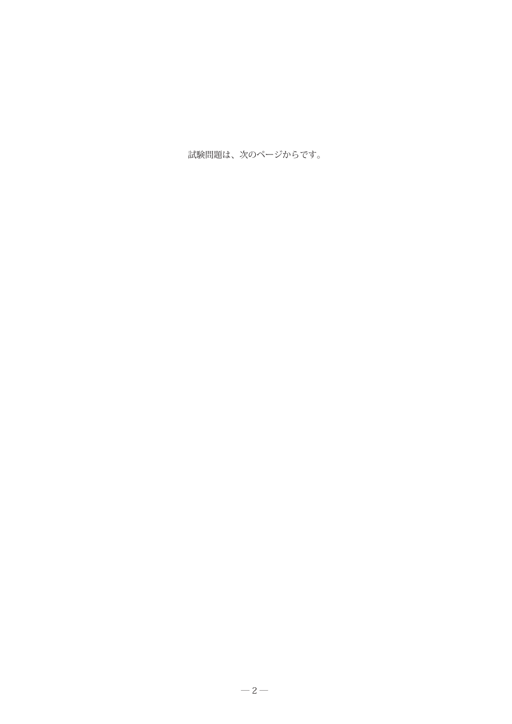試験問題は、次のページからです。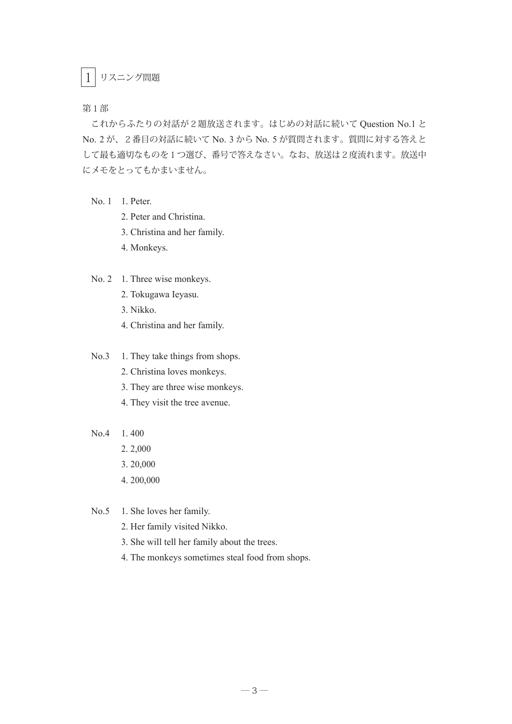### 1 リスニング問題

第1部

これからふたりの対話が2題放送されます。はじめの対話に続いて Question No.1 と No. 2 が、2番目の対話に続いて No. 3 から No. 5 が質問されます。質問に対する答えと して最も適切なものを1つ選び、番号で答えなさい。なお、放送は2度流れます。放送中 にメモをとってもかまいません。

- No. 1 1. Peter.
	- 2. Peter and Christina.
	- 3. Christina and her family.
	- 4. Monkeys.

#### No. 2 1. Three wise monkeys.

- 2. Tokugawa Ieyasu.
- 3. Nikko.
- 4. Christina and her family.

#### No.3 1. They take things from shops.

- 2. Christina loves monkeys.
- 3. They are three wise monkeys.
- 4. They visit the tree avenue.
- No.4 1. 400
	- 2. 2,000
	- 3. 20,000
	- 4. 200,000

No.5 1. She loves her family.

- 2. Her family visited Nikko.
- 3. She will tell her family about the trees.
- 4. The monkeys sometimes steal food from shops.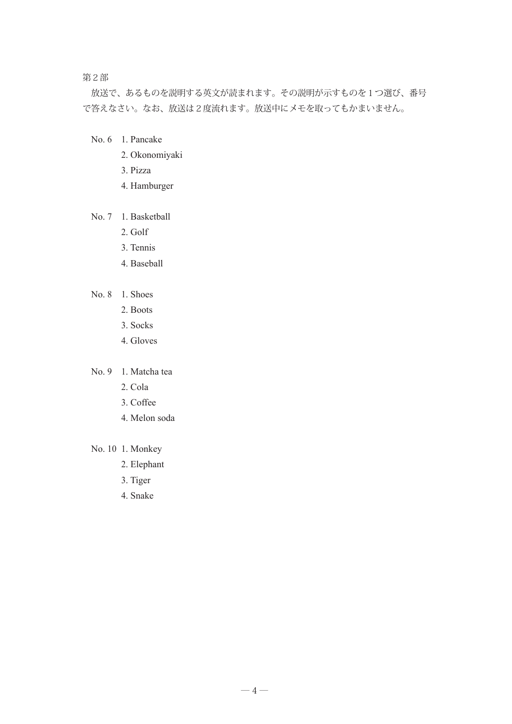第2部

放送で、あるものを説明する英文が読まれます。その説明が示すものを1つ選び、番号 で答えなさい。なお、放送は2度流れます。放送中にメモを取ってもかまいません。

- No. 6 1. Pancake
	- 2. Okonomiyaki
	- 3. Pizza
	- 4. Hamburger

#### No. 7 1. Basketball

- 2. Golf
- 3. Tennis
- 4. Baseball
- No. 8 1. Shoes
	- 2. Boots
	- 3. Socks
	- 4. Gloves

#### No. 9 1. Matcha tea

- 2. Cola
- 3. Coffee
- 4. Melon soda
- No. 10 1. Monkey
	- 2. Elephant
	- 3. Tiger
	- 4. Snake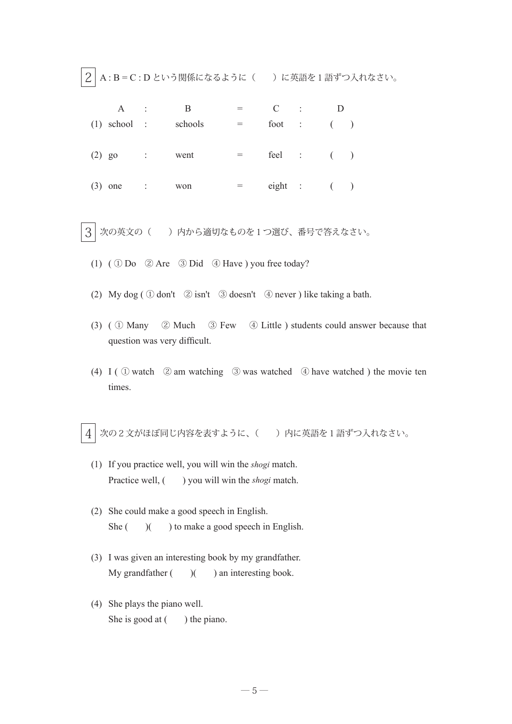$\boxed{2}$  A : B = C : D という関係になるように() に英語を1語ずつ入れなさい。

|          | A              | ÷           | B       |            | $\ddot{\cdot}$ |         |  |
|----------|----------------|-------------|---------|------------|----------------|---------|--|
|          | $(1)$ school : |             | schools | foot :     |                | (       |  |
| $(2)$ go |                | $\sim 1000$ | went    |            | $feel$ : $($   |         |  |
|          | $(3)$ one      | $\sim 100$  | won     | $eighth$ : |                | $($ $)$ |  |

 $3$  次の英文の( ) 内から適切なものを1つ選び、番号で答えなさい。

- (1) ( ① Do ② Are ③ Did ④ Have ) you free today?
- (2) My dog ( ① don't ② isn't ③ doesn't ④ never ) like taking a bath.
- (3) ( ① Many ② Much ③ Few ④ Little ) students could answer because that question was very difficult.
- (4) I ( $\odot$  watch  $\odot$  am watching  $\odot$  was watched  $\odot$  have watched ) the movie ten times.

 $\overline{4}$  次の2文がほぼ同じ内容を表すように、( ) 内に英語を1語ずつ入れなさい。

- (1) If you practice well, you will win the *shogi* match. Practice well,  $($ ) you will win the *shogi* match.
- (2) She could make a good speech in English. She  $($   $)$   $($   $)$  to make a good speech in English.
- (3) I was given an interesting book by my grandfather. My grandfather  $($   $)$  $($   $)$  an interesting book.
- (4) She plays the piano well. She is good at  $($ ) the piano.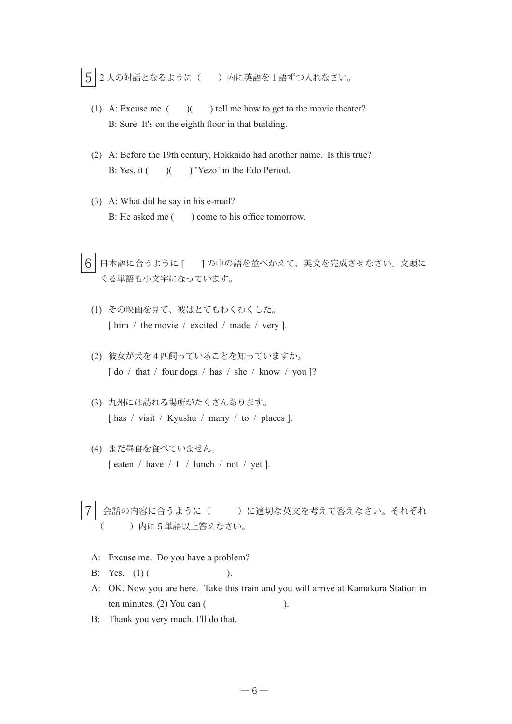$\boxed{5}$  2 人の対話となるように( ) 内に英語を1語ずつ入れなさい。

- (1) A: Excuse me.  $($   $)$   $($   $)$  tell me how to get to the movie theater? B: Sure. It's on the eighth floor in that building.
- (2) A: Before the 19th century, Hokkaido had another name. Is this true? B: Yes, it ( ) ( ) "Yezo" in the Edo Period.
- (3) A: What did he say in his e-mail? B: He asked me ( ) come to his office tomorrow.
- $\overline{6}$  日本語に合うように [  $\,$  ] の中の語を並べかえて、英文を完成させなさい。文頭に くる単語も小文字になっています。
	- (1) その映画を見て、彼はとてもわくわくした。 [ him / the movie / excited / made / very ].
	- (2) 彼女が犬を4匹飼っていることを知っていますか。 [ do / that / four dogs / has / she / know / you ]?
	- (3) 九州には訪れる場所がたくさんあります。 [ has / visit / Kyushu / many / to / places ].
	- (4) まだ昼食を食べていません。 [ eaten / have / I / lunch / not / yet ].
- 会話の内容に合うように( )に適切な英文を考えて答えなさい。それぞれ () 内に5単語以上答えなさい。
- A: Excuse me. Do you have a problem?
- B: Yes.  $(1)$  ( ).
- A: OK. Now you are here. Take this train and you will arrive at Kamakura Station in ten minutes.  $(2)$  You can  $($
- B: Thank you very much. I'll do that.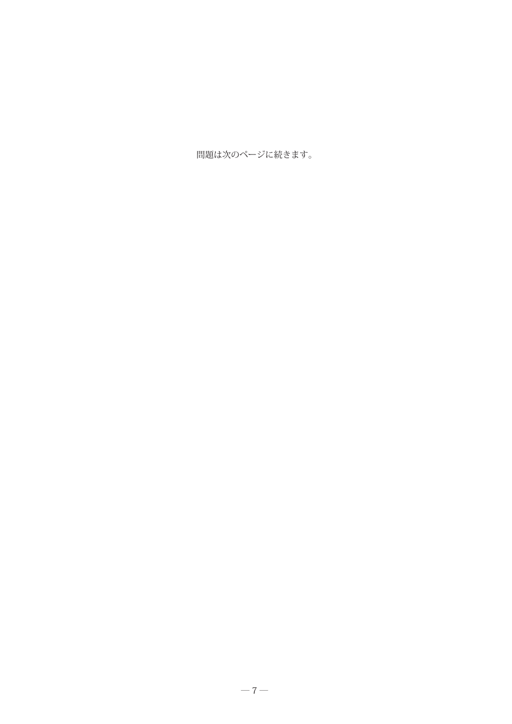問題は次のページに続きます。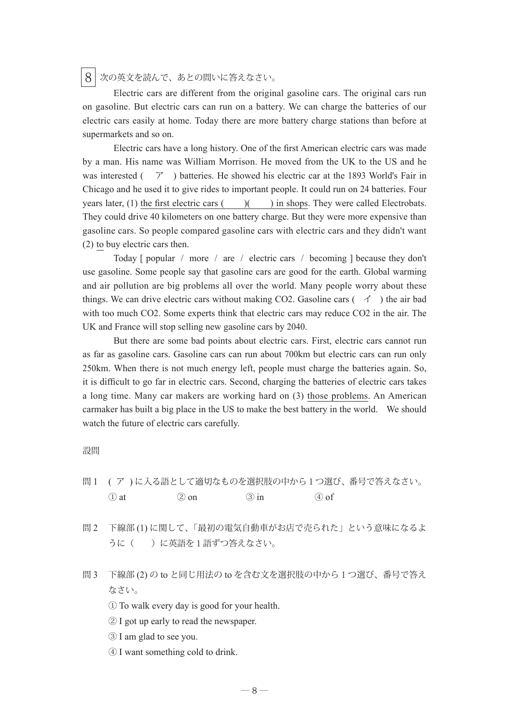## $8$  次の英文を読んで、あとの問いに答えなさい。

 Electric cars are different from the original gasoline cars. The original cars run on gasoline. But electric cars can run on a battery. We can charge the batteries of our electric cars easily at home. Today there are more battery charge stations than before at supermarkets and so on.

 Electric cars have a long history. One of the first American electric cars was made by a man. His name was William Morrison. He moved from the UK to the US and he was interested ( $\overline{7}$ ) batteries. He showed his electric car at the 1893 World's Fair in Chicago and he used it to give rides to important people. It could run on 24 batteries. Four years later, (1) the first electric cars  $($   $)$   $($   $)$  in shops. They were called Electrobats. They could drive 40 kilometers on one battery charge. But they were more expensive than gasoline cars. So people compared gasoline cars with electric cars and they didn't want (2) to buy electric cars then.

 Today [ popular / more / are / electric cars / becoming ] because they don't use gasoline. Some people say that gasoline cars are good for the earth. Global warming and air pollution are big problems all over the world. Many people worry about these things. We can drive electric cars without making CO2. Gasoline cars  $( \preceq )$  the air bad with too much CO2. Some experts think that electric cars may reduce CO2 in the air. The UK and France will stop selling new gasoline cars by 2040.

 But there are some bad points about electric cars. First, electric cars cannot run as far as gasoline cars. Gasoline cars can run about 700km but electric cars can run only 250km. When there is not much energy left, people must charge the batteries again. So, it is difficult to go far in electric cars. Second, charging the batteries of electric cars takes a long time. Many car makers are working hard on (3) those problems. An American carmaker has built a big place in the US to make the best battery in the world. We should watch the future of electric cars carefully.

設問

- 問 1 ( ア ) に入る語として適切なものを選択肢の中から1つ選び、番号で答えなさい。  $\textcircled{1}$  at  $\textcircled{2}$  on  $\textcircled{3}$  in  $\textcircled{4}$  of
- 問 2 下線部 (1) に関して、「最初の電気自動車がお店で売られた」という意味になるよ うに()に英語を1語ずつ答えなさい。
- 問 3 下線部 (2) の to と同じ用法の to を含む文を選択肢の中から1つ選び、番号で答え なさい。

① To walk every day is good for your health.

- ② I got up early to read the newspaper.
- ③ I am glad to see you.
- ④ I want something cold to drink.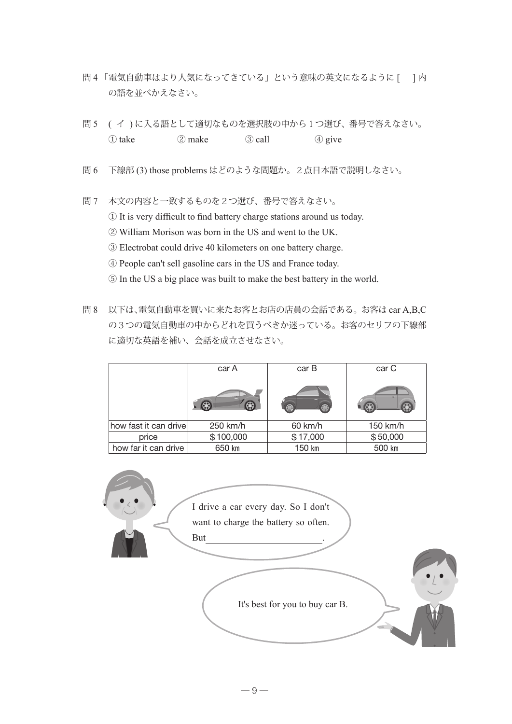- 問4「電気自動車はより人気になってきている」という意味の英文になるように[ ]内 の語を並べかえなさい。
- 問 5 ( イ ) に入る語として適切なものを選択肢の中から1つ選び、番号で答えなさい。  $\textcircled{1}$  take  $\textcircled{2}$  make  $\textcircled{3}$  call  $\textcircled{4}$  give
- 問 6 下線部 (3) those problems はどのような問題か。2点日本語で説明しなさい。
- 問 7 本文の内容と一致するものを2つ選び、番号で答えなさい。
	- ① It is very difficult to find battery charge stations around us today.
	- ② William Morison was born in the US and went to the UK.
	- ③ Electrobat could drive 40 kilometers on one battery charge.
	- ④ People can't sell gasoline cars in the US and France today.
	- ⑤ In the US a big place was built to make the best battery in the world.
- 問 8 以下は、電気自動車を買いに来たお客とお店の店員の会話である。お客は car A,B,C の3つの電気自動車の中からどれを買うべきか迷っている。お客のセリフの下線部 に適切な英語を補い、会話を成立させなさい。

|                       | car A      | car B              | car C    |  |
|-----------------------|------------|--------------------|----------|--|
|                       | $\bigcirc$ | $\circledast$<br>€ |          |  |
| how fast it can drive | 250 km/h   | 60 km/h            | 150 km/h |  |
| price                 | \$100,000  | \$17,000           | \$50,000 |  |
| how far it can drive  | 650 km     | 150 km             | 500 km   |  |

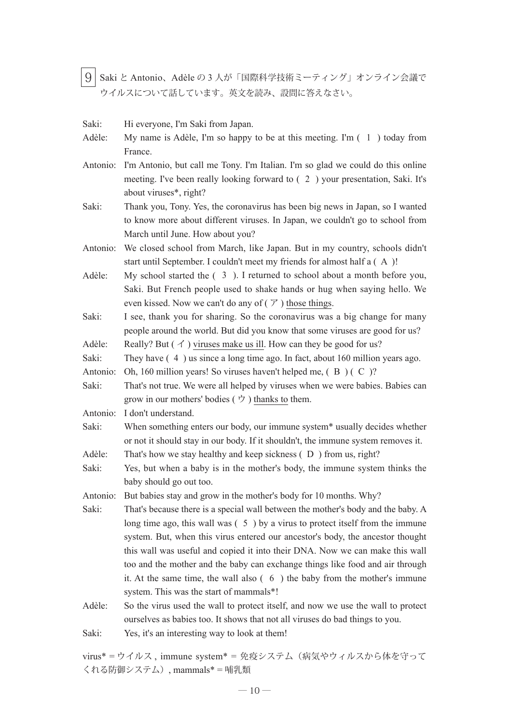9 Saki と Antonio、Adèle の 3 人が「国際科学技術ミーティング」オンライン会議で ウイルスについて話しています。英文を読み、設問に答えなさい。

- Saki: Hi everyone, I'm Saki from Japan.
- Adèle: My name is Adèle, I'm so happy to be at this meeting. I'm (1) today from France.
- Antonio: I'm Antonio, but call me Tony. I'm Italian. I'm so glad we could do this online meeting. I've been really looking forward to ( 2 ) your presentation, Saki. It's about viruses\*, right?
- Saki: Thank you, Tony. Yes, the coronavirus has been big news in Japan, so I wanted to know more about different viruses. In Japan, we couldn't go to school from March until June. How about you?
- Antonio: We closed school from March, like Japan. But in my country, schools didn't start until September. I couldn't meet my friends for almost half a ( A )!
- Adèle: My school started the ( 3 ). I returned to school about a month before you, Saki. But French people used to shake hands or hug when saying hello. We even kissed. Now we can't do any of  $(\mathcal{V})$  those things.
- Saki: I see, thank you for sharing. So the coronavirus was a big change for many people around the world. But did you know that some viruses are good for us?
- Adèle: Really? But  $(\n\check{\phantom{a}})$  viruses make us ill. How can they be good for us?
- Saki: They have  $(4)$  us since a long time ago. In fact, about 160 million years ago.
- Antonio: Oh, 160 million years! So viruses haven't helped me, ( B ) ( C )?
- Saki: That's not true. We were all helped by viruses when we were babies. Babies can grow in our mothers' bodies  $(\forall)$  thanks to them.
- Antonio: I don't understand.
- Saki: When something enters our body, our immune system\* usually decides whether or not it should stay in our body. If it shouldn't, the immune system removes it.
- Adèle: That's how we stay healthy and keep sickness (D) from us, right?
- Saki: Yes, but when a baby is in the mother's body, the immune system thinks the baby should go out too.

- Saki: That's because there is a special wall between the mother's body and the baby. A long time ago, this wall was  $(5)$  by a virus to protect itself from the immune system. But, when this virus entered our ancestor's body, the ancestor thought this wall was useful and copied it into their DNA. Now we can make this wall too and the mother and the baby can exchange things like food and air through it. At the same time, the wall also ( 6 ) the baby from the mother's immune system. This was the start of mammals\*!
- Adèle: So the virus used the wall to protect itself, and now we use the wall to protect ourselves as babies too. It shows that not all viruses do bad things to you.
- Saki: Yes, it's an interesting way to look at them!

virus\* = ウイルス , immune system\* = 免疫システム(病気やウィルスから体を守って くれる防御システム), mammals\* = 哺乳類

Antonio: But babies stay and grow in the mother's body for 10 months. Why?